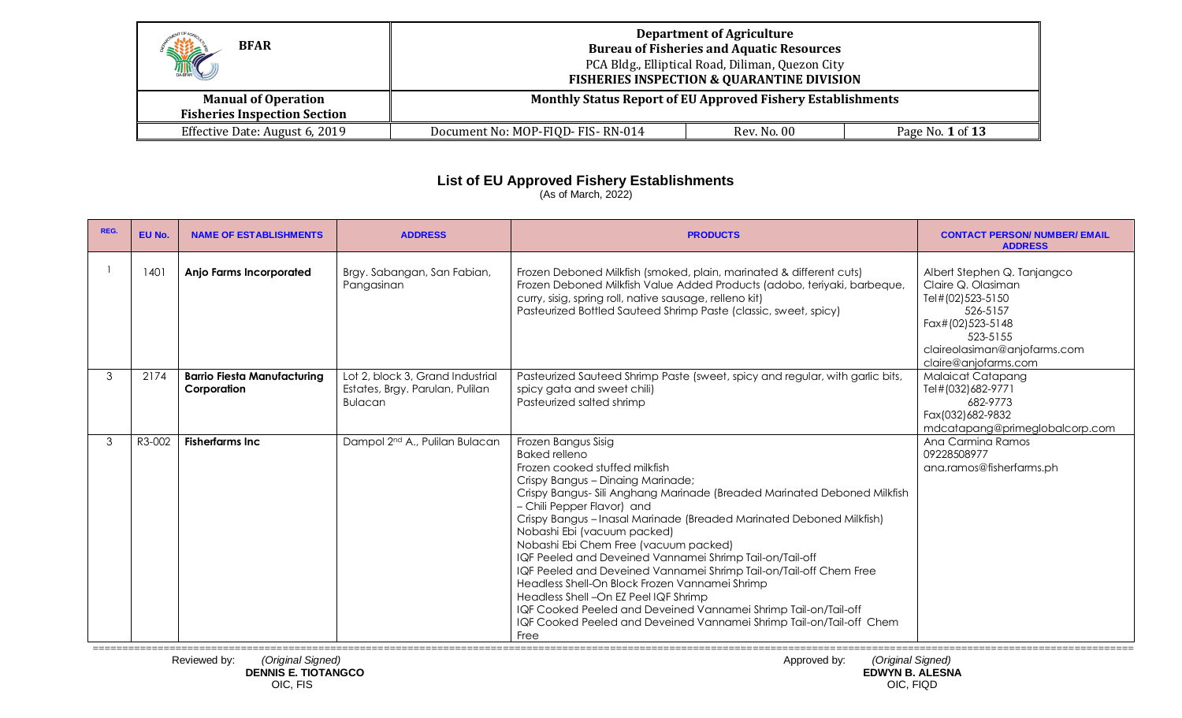| H<br><b>BFAR</b>                                                  | <b>Department of Agriculture</b><br><b>Bureau of Fisheries and Aquatic Resources</b><br>PCA Bldg., Elliptical Road, Diliman, Quezon City<br><b>FISHERIES INSPECTION &amp; QUARANTINE DIVISION</b> |  |                  |  |  |
|-------------------------------------------------------------------|---------------------------------------------------------------------------------------------------------------------------------------------------------------------------------------------------|--|------------------|--|--|
| <b>Manual of Operation</b><br><b>Fisheries Inspection Section</b> | <b>Monthly Status Report of EU Approved Fishery Establishments</b>                                                                                                                                |  |                  |  |  |
| Effective Date: August 6, 2019                                    | Document No: MOP-FIQD- FIS-RN-014<br>Rev. No. 00                                                                                                                                                  |  | Page No. 1 of 13 |  |  |

## **List of EU Approved Fishery Establishments**

(As of March, 2022)

| REG. | EU No. | <b>NAME OF ESTABLISHMENTS</b>                     | <b>ADDRESS</b>                                                                 | <b>PRODUCTS</b>                                                                                                                                                                                                                                                                                                                                                                                                                                                                                                                                                                                                                                                                                                                                              | <b>CONTACT PERSON/ NUMBER/ EMAIL</b><br><b>ADDRESS</b>                                                                                                                    |
|------|--------|---------------------------------------------------|--------------------------------------------------------------------------------|--------------------------------------------------------------------------------------------------------------------------------------------------------------------------------------------------------------------------------------------------------------------------------------------------------------------------------------------------------------------------------------------------------------------------------------------------------------------------------------------------------------------------------------------------------------------------------------------------------------------------------------------------------------------------------------------------------------------------------------------------------------|---------------------------------------------------------------------------------------------------------------------------------------------------------------------------|
|      | 1401   | <b>Anjo Farms Incorporated</b>                    | Brgy. Sabangan, San Fabian,<br>Pangasinan                                      | Frozen Deboned Milkfish (smoked, plain, marinated & different cuts)<br>Frozen Deboned Milkfish Value Added Products (adobo, teriyaki, barbeque,<br>curry, sisig, spring roll, native sausage, relleno kit)<br>Pasteurized Bottled Sauteed Shrimp Paste (classic, sweet, spicy)                                                                                                                                                                                                                                                                                                                                                                                                                                                                               | Albert Stephen Q. Tanjangco<br>Claire Q. Olasiman<br>Tel#(02)523-5150<br>526-5157<br>Fax#(02)523-5148<br>523-5155<br>claireolasiman@anjofarms.com<br>claire@anjofarms.com |
| 3    | 2174   | <b>Barrio Fiesta Manufacturing</b><br>Corporation | Lot 2, block 3, Grand Industrial<br>Estates, Brgy. Parulan, Pulilan<br>Bulacan | Pasteurized Sauteed Shrimp Paste (sweet, spicy and regular, with garlic bits,<br>spicy gata and sweet chili)<br>Pasteurized salted shrimp                                                                                                                                                                                                                                                                                                                                                                                                                                                                                                                                                                                                                    | <b>Malaicat Catapang</b><br>Tel#(032)682-9771<br>682-9773<br>Fax(032)682-9832<br>mdcatapang@primeglobalcorp.com                                                           |
| 3    | R3-002 | <b>Fisherfarms Inc</b>                            | Dampol 2 <sup>nd</sup> A., Pulilan Bulacan                                     | Frozen Bangus Sisig<br><b>Baked relleno</b><br>Frozen cooked stuffed milkfish<br>Crispy Bangus - Dinaing Marinade;<br>Crispy Bangus-Sili Anghang Marinade (Breaded Marinated Deboned Milkfish<br>- Chili Pepper Flavor) and<br>Crispy Bangus - Inasal Marinade (Breaded Marinated Deboned Milkfish)<br>Nobashi Ebi (vacuum packed)<br>Nobashi Ebi Chem Free (vacuum packed)<br>IQF Peeled and Deveined Vannamei Shrimp Tail-on/Tail-off<br>IQF Peeled and Deveined Vannamei Shrimp Tail-on/Tail-off Chem Free<br>Headless Shell-On Block Frozen Vannamei Shrimp<br>Headless Shell - On EZ Peel IQF Shrimp<br>IQF Cooked Peeled and Deveined Vannamei Shrimp Tail-on/Tail-off<br>IQF Cooked Peeled and Deveined Vannamei Shrimp Tail-on/Tail-off Chem<br>Free | Ana Carmina Ramos<br>09228508977<br>ana.ramos@fisherfarms.ph                                                                                                              |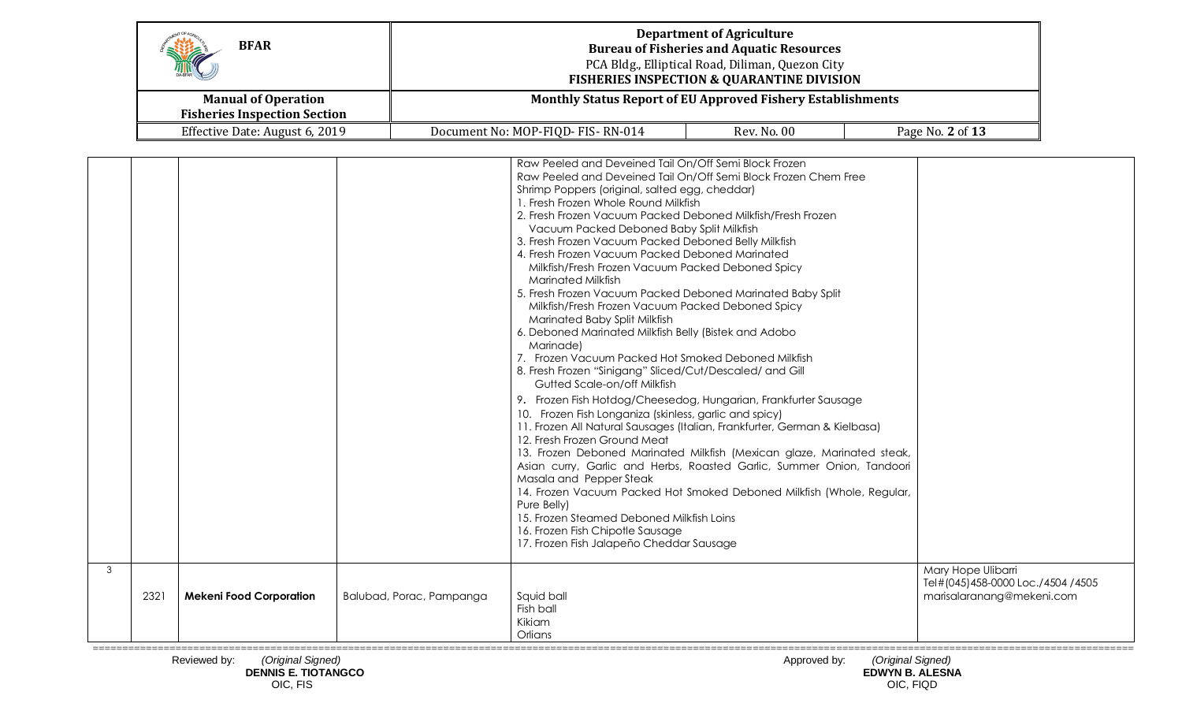| SHOT<br><b>BFAR</b>                                               | <b>Department of Agriculture</b><br><b>Bureau of Fisheries and Aquatic Resources</b><br>PCA Bldg., Elliptical Road, Diliman, Quezon City<br><b>FISHERIES INSPECTION &amp; QUARANTINE DIVISION</b> |                    |                  |  |  |
|-------------------------------------------------------------------|---------------------------------------------------------------------------------------------------------------------------------------------------------------------------------------------------|--------------------|------------------|--|--|
| <b>Manual of Operation</b><br><b>Fisheries Inspection Section</b> | <b>Monthly Status Report of EU Approved Fishery Establishments</b>                                                                                                                                |                    |                  |  |  |
| Effective Date: August 6, 2019                                    | Document No: MOP-FIQD- FIS-RN-014                                                                                                                                                                 | <b>Rev. No. 00</b> | Page No. 2 of 13 |  |  |

|   |      |                                |                          | Raw Peeled and Deveined Tail On/Off Semi Block Frozen<br>Raw Peeled and Deveined Tail On/Off Semi Block Frozen Chem Free<br>Shrimp Poppers (original, salted egg, cheddar)<br>1. Fresh Frozen Whole Round Milkfish<br>2. Fresh Frozen Vacuum Packed Deboned Milkfish/Fresh Frozen<br>Vacuum Packed Deboned Baby Split Milkfish<br>3. Fresh Frozen Vacuum Packed Deboned Belly Milkfish<br>4. Fresh Frozen Vacuum Packed Deboned Marinated<br>Milkfish/Fresh Frozen Vacuum Packed Deboned Spicy<br><b>Marinated Milkfish</b><br>5. Fresh Frozen Vacuum Packed Deboned Marinated Baby Split<br>Milkfish/Fresh Frozen Vacuum Packed Deboned Spicy<br>Marinated Baby Split Milkfish<br>6. Deboned Marinated Milkfish Belly (Bistek and Adobo<br>Marinade)<br>7. Frozen Vacuum Packed Hot Smoked Deboned Milkfish<br>8. Fresh Frozen "Sinigang" Sliced/Cut/Descaled/ and Gill<br>Gutted Scale-on/off Milkfish<br>9. Frozen Fish Hotdog/Cheesedog, Hungarian, Frankfurter Sausage<br>10. Frozen Fish Longaniza (skinless, garlic and spicy)<br>11. Frozen All Natural Sausages (Italian, Frankfurter, German & Kielbasa)<br>12. Fresh Frozen Ground Meat<br>13. Frozen Deboned Marinated Milkfish (Mexican glaze, Marinated steak,<br>Asian curry, Garlic and Herbs, Roasted Garlic, Summer Onion, Tandoori<br>Masala and Pepper Steak<br>14. Frozen Vacuum Packed Hot Smoked Deboned Milkfish (Whole, Regular,<br>Pure Belly)<br>15. Frozen Steamed Deboned Milkfish Loins<br>16. Frozen Fish Chipotle Sausage<br>17. Frozen Fish Jalapeño Cheddar Sausage |                                                                                      |
|---|------|--------------------------------|--------------------------|-------------------------------------------------------------------------------------------------------------------------------------------------------------------------------------------------------------------------------------------------------------------------------------------------------------------------------------------------------------------------------------------------------------------------------------------------------------------------------------------------------------------------------------------------------------------------------------------------------------------------------------------------------------------------------------------------------------------------------------------------------------------------------------------------------------------------------------------------------------------------------------------------------------------------------------------------------------------------------------------------------------------------------------------------------------------------------------------------------------------------------------------------------------------------------------------------------------------------------------------------------------------------------------------------------------------------------------------------------------------------------------------------------------------------------------------------------------------------------------------------------------------------------------------------------|--------------------------------------------------------------------------------------|
| 3 | 2321 | <b>Mekeni Food Corporation</b> | Balubad, Porac, Pampanga | Squid ball<br>Fish ball<br>Kikiam<br>Orlians                                                                                                                                                                                                                                                                                                                                                                                                                                                                                                                                                                                                                                                                                                                                                                                                                                                                                                                                                                                                                                                                                                                                                                                                                                                                                                                                                                                                                                                                                                          | Mary Hope Ulibarri<br>Tel#(045)458-0000 Loc./4504 /4505<br>marisalaranang@mekeni.com |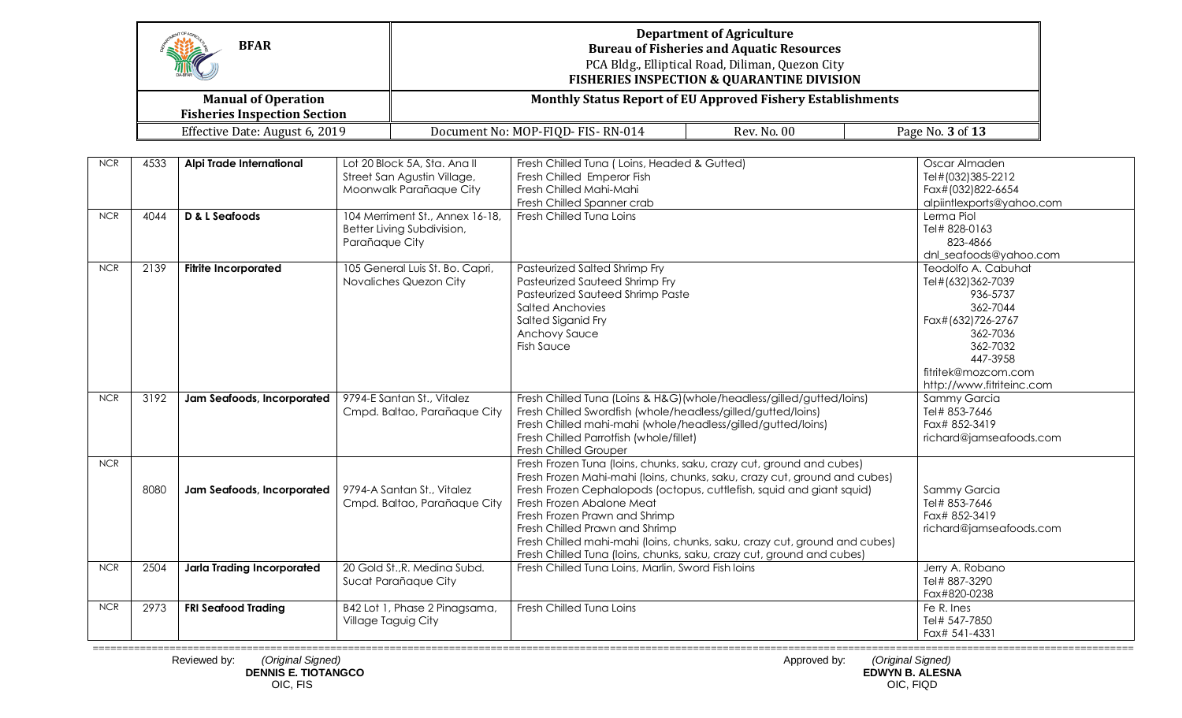|            |      | <b>BFAR</b><br><b>Manual of Operation</b><br><b>Fisheries Inspection Section</b> |                                                                                        | <b>Monthly Status Report of EU Approved Fishery Establishments</b>                                                                                                                                                                                                                                                                                                                                                                                                                | <b>Department of Agriculture</b><br><b>Bureau of Fisheries and Aquatic Resources</b><br>PCA Bldg., Elliptical Road, Diliman, Quezon City<br><b>FISHERIES INSPECTION &amp; QUARANTINE DIVISION</b> |                                                                                                                                                                               |
|------------|------|----------------------------------------------------------------------------------|----------------------------------------------------------------------------------------|-----------------------------------------------------------------------------------------------------------------------------------------------------------------------------------------------------------------------------------------------------------------------------------------------------------------------------------------------------------------------------------------------------------------------------------------------------------------------------------|---------------------------------------------------------------------------------------------------------------------------------------------------------------------------------------------------|-------------------------------------------------------------------------------------------------------------------------------------------------------------------------------|
|            |      | Effective Date: August 6, 2019                                                   |                                                                                        | Document No: MOP-FIQD-FIS-RN-014                                                                                                                                                                                                                                                                                                                                                                                                                                                  | Rev. No. 00                                                                                                                                                                                       | Page No. 3 of 13                                                                                                                                                              |
|            |      |                                                                                  |                                                                                        |                                                                                                                                                                                                                                                                                                                                                                                                                                                                                   |                                                                                                                                                                                                   |                                                                                                                                                                               |
| <b>NCR</b> | 4533 | Alpi Trade International                                                         | Lot 20 Block 5A, Sta. Ana II<br>Street San Agustin Village,<br>Moonwalk Parañaque City | Fresh Chilled Tuna (Loins, Headed & Gutted)<br>Fresh Chilled Emperor Fish<br>Fresh Chilled Mahi-Mahi<br>Fresh Chilled Spanner crab                                                                                                                                                                                                                                                                                                                                                |                                                                                                                                                                                                   | Oscar Almaden<br>Tel#(032)385-2212<br>Fax#(032)822-6654<br>alpiintlexports@yahoo.com                                                                                          |
| NCR        | 4044 | D & L Seafoods                                                                   | 104 Merriment St., Annex 16-18,<br>Better Living Subdivision,<br>Parañaque City        | Fresh Chilled Tuna Loins                                                                                                                                                                                                                                                                                                                                                                                                                                                          |                                                                                                                                                                                                   | Lerma Piol<br>Tel# 828-0163<br>823-4866<br>dnl_seafoods@yahoo.com                                                                                                             |
| NCR        | 2139 | <b>Fitrite Incorporated</b>                                                      | 105 General Luis St. Bo. Capri,<br>Novaliches Quezon City                              | Pasteurized Salted Shrimp Fry<br>Pasteurized Sauteed Shrimp Fry<br>Pasteurized Sauteed Shrimp Paste<br><b>Salted Anchovies</b><br>Salted Siganid Fry<br>Anchovy Sauce<br><b>Fish Sauce</b>                                                                                                                                                                                                                                                                                        |                                                                                                                                                                                                   | Teodolfo A. Cabuhat<br>Tel#(632)362-7039<br>936-5737<br>362-7044<br>Fax#(632)726-2767<br>362-7036<br>362-7032<br>447-3958<br>fitritek@mozcom.com<br>http://www.fitriteinc.com |
| NCR        | 3192 | Jam Seafoods, Incorporated                                                       | 9794-E Santan St., Vitalez<br>Cmpd. Baltao, Parañaque City                             | Fresh Chilled Tuna (Loins & H&G) (whole/headless/gilled/gutted/loins)<br>Fresh Chilled Swordfish (whole/headless/gilled/gutted/loins)<br>Fresh Chilled mahi-mahi (whole/headless/gilled/gutted/loins)<br>Fresh Chilled Parrotfish (whole/fillet)<br>Fresh Chilled Grouper                                                                                                                                                                                                         |                                                                                                                                                                                                   | Sammy Garcia<br>Tel# 853-7646<br>Fax# 852-3419<br>richard@jamseafoods.com                                                                                                     |
| NCR        | 8080 | Jam Seafoods, Incorporated                                                       | 9794-A Santan St., Vitalez<br>Cmpd. Baltao, Parañaque City                             | Fresh Frozen Tuna (loins, chunks, saku, crazy cut, ground and cubes)<br>Fresh Frozen Mahi-mahi (loins, chunks, saku, crazy cut, ground and cubes)<br>Fresh Frozen Cephalopods (octopus, cuttlefish, squid and giant squid)<br>Fresh Frozen Abalone Meat<br>Fresh Frozen Prawn and Shrimp<br>Fresh Chilled Prawn and Shrimp<br>Fresh Chilled mahi-mahi (loins, chunks, saku, crazy cut, ground and cubes)<br>Fresh Chilled Tuna (loins, chunks, saku, crazy cut, ground and cubes) |                                                                                                                                                                                                   | Sammy Garcia<br>Tel# 853-7646<br>Fax# 852-3419<br>richard@jamseafoods.com                                                                                                     |
| <b>NCR</b> | 2504 | <b>Jarla Trading Incorporated</b>                                                | 20 Gold St., R. Medina Subd.<br>Sucat Parañaque City                                   | Fresh Chilled Tung Loins, Marlin, Sword Fish Joins                                                                                                                                                                                                                                                                                                                                                                                                                                |                                                                                                                                                                                                   | Jerry A. Robano<br>Tel# 887-3290<br>Fax#820-0238                                                                                                                              |
| <b>NCR</b> | 2973 | <b>FRI Seafood Trading</b>                                                       | B42 Lot 1, Phase 2 Pinagsama,<br><b>Village Taguig City</b>                            | Fresh Chilled Tuna Loins                                                                                                                                                                                                                                                                                                                                                                                                                                                          |                                                                                                                                                                                                   | Fe R. Ines<br>Tel# 547-7850<br>Fax# 541-4331                                                                                                                                  |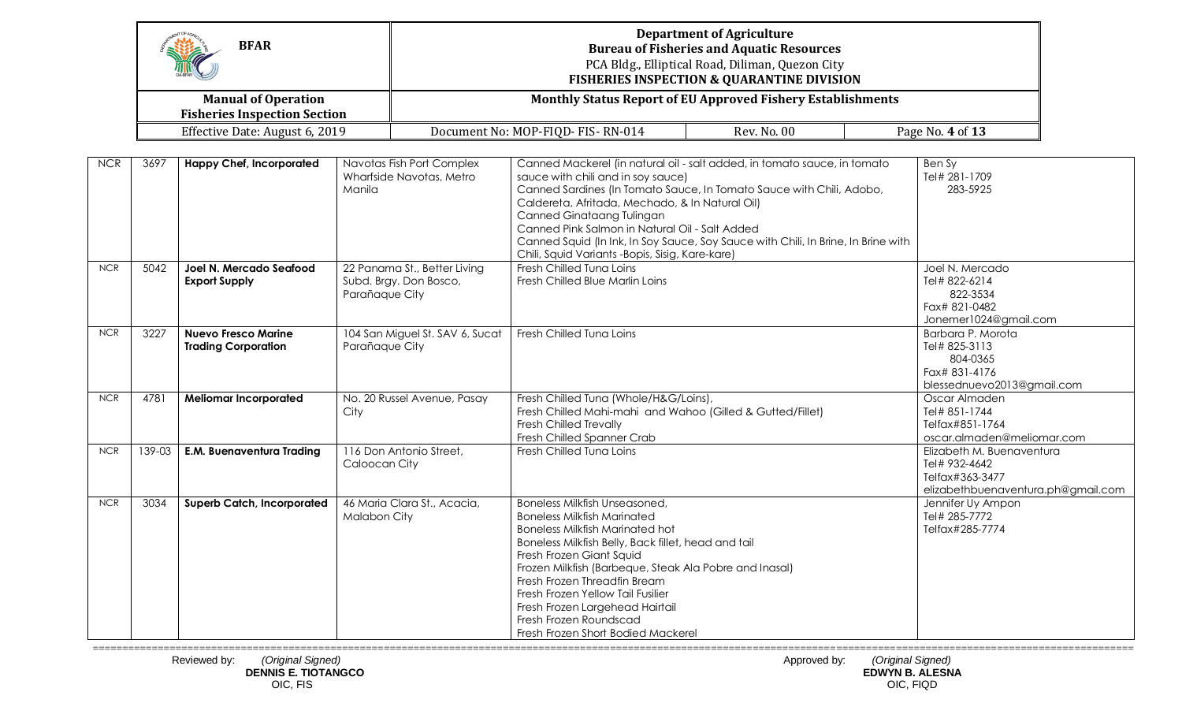|            |        | <b>BFAR</b>                                              |                                                                          | <b>Department of Agriculture</b><br><b>Bureau of Fisheries and Aquatic Resources</b><br>PCA Bldg., Elliptical Road, Diliman, Quezon City<br><b>FISHERIES INSPECTION &amp; QUARANTINE DIVISION</b>                                                                                                                                                                                                                                                                |                                                                    |  |                                                                                                     |  |
|------------|--------|----------------------------------------------------------|--------------------------------------------------------------------------|------------------------------------------------------------------------------------------------------------------------------------------------------------------------------------------------------------------------------------------------------------------------------------------------------------------------------------------------------------------------------------------------------------------------------------------------------------------|--------------------------------------------------------------------|--|-----------------------------------------------------------------------------------------------------|--|
|            |        | <b>Manual of Operation</b>                               |                                                                          |                                                                                                                                                                                                                                                                                                                                                                                                                                                                  | <b>Monthly Status Report of EU Approved Fishery Establishments</b> |  |                                                                                                     |  |
|            |        | <b>Fisheries Inspection Section</b>                      |                                                                          |                                                                                                                                                                                                                                                                                                                                                                                                                                                                  |                                                                    |  |                                                                                                     |  |
|            |        | Effective Date: August 6, 2019                           |                                                                          | Document No: MOP-FIQD- FIS-RN-014                                                                                                                                                                                                                                                                                                                                                                                                                                | <b>Rev. No. 00</b>                                                 |  | Page No. 4 of 13                                                                                    |  |
| <b>NCR</b> | 3697   | <b>Happy Chef, Incorporated</b>                          | Navotas Fish Port Complex<br>Wharfside Navotas, Metro<br>Manila          | Canned Mackerel (in natural oil - salt added, in tomato sauce, in tomato<br>sauce with chili and in soy sauce)<br>Canned Sardines (In Tomato Sauce, In Tomato Sauce with Chili, Adobo,<br>Caldereta, Afritada, Mechado, & In Natural Oil)<br>Canned Ginataang Tulingan<br>Canned Pink Salmon in Natural Oil - Salt Added<br>Canned Squid (In Ink, In Soy Sauce, Soy Sauce with Chili, In Brine, In Brine with<br>Chili, Squid Variants -Bopis, Sisig, Kare-kare) |                                                                    |  | Ben Sy<br>Tel# 281-1709<br>283-5925                                                                 |  |
| <b>NCR</b> | 5042   | Joel N. Mercado Seafood<br><b>Export Supply</b>          | 22 Panama St., Better Living<br>Subd. Brgy. Don Bosco,<br>Parañaque City | Fresh Chilled Tuna Loins<br>Fresh Chilled Blue Marlin Loins                                                                                                                                                                                                                                                                                                                                                                                                      |                                                                    |  | Joel N. Mercado<br>Tel# 822-6214<br>822-3534<br>Fax# 821-0482<br>Jonemer1024@gmail.com              |  |
| $NCR$      | 3227   | <b>Nuevo Fresco Marine</b><br><b>Trading Corporation</b> | 104 San Miguel St. SAV 6, Sucat<br>Parañaque City                        | Fresh Chilled Tuna Loins                                                                                                                                                                                                                                                                                                                                                                                                                                         |                                                                    |  | Barbara P. Morota<br>Tel# 825-3113<br>804-0365<br>Fax# 831-4176<br>blessednuevo2013@gmail.com       |  |
| <b>NCR</b> | 4781   | <b>Meliomar Incorporated</b>                             | No. 20 Russel Avenue, Pasay<br>City                                      | Fresh Chilled Tuna (Whole/H&G/Loins),<br>Fresh Chilled Mahi-mahi and Wahoo (Gilled & Gutted/Fillet)<br><b>Fresh Chilled Trevally</b><br>Fresh Chilled Spanner Crab                                                                                                                                                                                                                                                                                               |                                                                    |  | Oscar Almaden<br>Tel# 851-1744<br>Telfax#851-1764<br>oscar.almaden@meliomar.com                     |  |
| <b>NCR</b> | 139-03 | <b>E.M. Buenaventura Trading</b>                         | 116 Don Antonio Street,<br>Caloocan City                                 | Fresh Chilled Tuna Loins                                                                                                                                                                                                                                                                                                                                                                                                                                         |                                                                    |  | Elizabeth M. Buenaventura<br>Tel# 932-4642<br>Telfax#363-3477<br>elizabethbuenaventura.ph@gmail.com |  |
| <b>NCR</b> | 3034   | <b>Superb Catch, Incorporated</b>                        | 46 Maria Clara St., Acacia,<br>Malabon City                              | Boneless Milkfish Unseasoned,<br><b>Boneless Milkfish Marinated</b><br><b>Boneless Milkfish Marinated hot</b><br>Boneless Milkfish Belly, Back fillet, head and tail<br>Fresh Frozen Giant Squid<br>Frozen Milkfish (Barbeque, Steak Ala Pobre and Inasal)<br>Fresh Frozen Threadfin Bream<br>Fresh Frozen Yellow Tail Fusilier<br>Fresh Frozen Largehead Hairtail<br>Fresh Frozen Roundscad<br>Fresh Frozen Short Bodied Mackerel                               |                                                                    |  | Jennifer Uy Ampon<br>Tel# 285-7772<br>Telfax#285-7774                                               |  |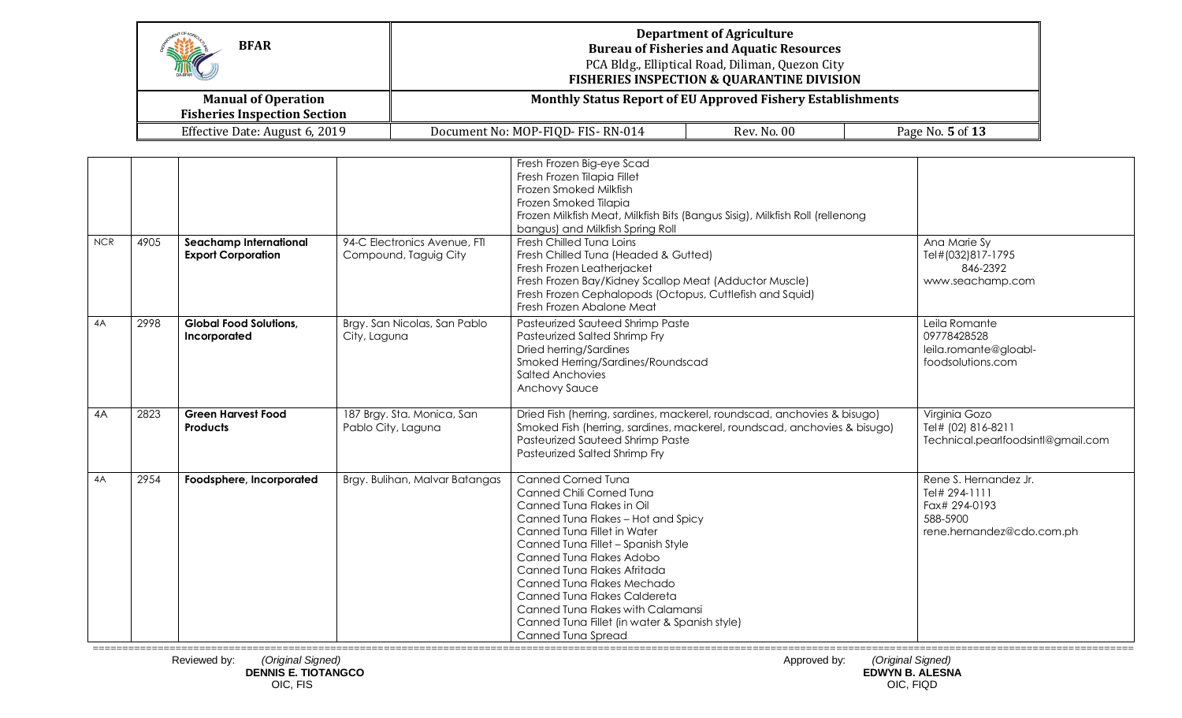| <b>BFAR</b><br>MA                                                 |                                                                                                     | <b>Department of Agriculture</b><br><b>Bureau of Fisheries and Aquatic Resources</b><br>PCA Bldg., Elliptical Road, Diliman, Quezon City<br><b>FISHERIES INSPECTION &amp; QUARANTINE DIVISION</b> |                  |  |  |
|-------------------------------------------------------------------|-----------------------------------------------------------------------------------------------------|---------------------------------------------------------------------------------------------------------------------------------------------------------------------------------------------------|------------------|--|--|
| <b>Manual of Operation</b><br><b>Fisheries Inspection Section</b> | Monthly Status Report of EU Approved Fishery Establishments                                         |                                                                                                                                                                                                   |                  |  |  |
| Effective Date: August 6, 2019                                    | Document No: MOP-FIQD- FIS-RN-014                                                                   | Rev. No. 00                                                                                                                                                                                       | Page No. 5 of 13 |  |  |
|                                                                   |                                                                                                     |                                                                                                                                                                                                   |                  |  |  |
|                                                                   | Fresh Frozen Big-eye Scad<br>Fresh Frozen Tilapia Fillet<br>The complete of the state of the Plats. |                                                                                                                                                                                                   |                  |  |  |

|            |      |                                                     |                                                       | Fresh Frozen Illapia Fillet<br>Frozen Smoked Milkfish<br>Frozen Smoked Tilapia<br>Frozen Milkfish Meat, Milkfish Bits (Bangus Sisig), Milkfish Roll (rellenong<br>bangus) and Milkfish Spring Roll                                                                                                                                                                                                                                 |                                                                                                  |
|------------|------|-----------------------------------------------------|-------------------------------------------------------|------------------------------------------------------------------------------------------------------------------------------------------------------------------------------------------------------------------------------------------------------------------------------------------------------------------------------------------------------------------------------------------------------------------------------------|--------------------------------------------------------------------------------------------------|
| <b>NCR</b> | 4905 | Seachamp International<br><b>Export Corporation</b> | 94-C Electronics Avenue, FTI<br>Compound, Taguig City | Fresh Chilled Tuna Loins<br>Fresh Chilled Tuna (Headed & Gutted)<br>Fresh Frozen Leatherjacket<br>Fresh Frozen Bay/Kidney Scallop Meat (Adductor Muscle)<br>Fresh Frozen Cephalopods (Octopus, Cuttlefish and Squid)<br>Fresh Frozen Abalone Meat                                                                                                                                                                                  | Ana Marie Sy<br>Tel#(032)817-1795<br>846-2392<br>www.seachamp.com                                |
| 4A         | 2998 | <b>Global Food Solutions,</b><br>Incorporated       | Brgy. San Nicolas, San Pablo<br>City, Laguna          | Pasteurized Sauteed Shrimp Paste<br>Pasteurized Salted Shrimp Fry<br>Dried herring/Sardines<br>Smoked Herring/Sardines/Roundscad<br><b>Salted Anchovies</b><br>Anchovy Sauce                                                                                                                                                                                                                                                       | Leila Romante<br>09778428528<br>leila.romante@gloabl-<br>foodsolutions.com                       |
| 4A         | 2823 | <b>Green Harvest Food</b><br><b>Products</b>        | 187 Brgy. Sta. Monica, San<br>Pablo City, Laguna      | Dried Fish (herring, sardines, mackerel, roundscad, anchovies & bisugo)<br>Smoked Fish (herring, sardines, mackerel, roundscad, anchovies & bisugo)<br>Pasteurized Sauteed Shrimp Paste<br>Pasteurized Salted Shrimp Fry                                                                                                                                                                                                           | Virginia Gozo<br>Tel# (02) 816-8211<br>Technical.pearlfoodsintl@gmail.com                        |
| 4A         | 2954 | Foodsphere, Incorporated                            | Brgy. Bulihan, Malvar Batangas                        | <b>Canned Corned Tuna</b><br>Canned Chili Corned Tuna<br>Canned Tuna Flakes in Oil<br>Canned Tuna Flakes - Hot and Spicy<br>Canned Tuna Fillet in Water<br>Canned Tuna Fillet - Spanish Style<br>Canned Tuna Flakes Adobo<br>Canned Tuna Flakes Afritada<br>Canned Tuna Flakes Mechado<br>Canned Tuna Flakes Caldereta<br>Canned Tuna Flakes with Calamansi<br>Canned Tuna Fillet (in water & Spanish style)<br>Canned Tuna Spread | Rene S. Hernandez Jr.<br>Tel# 294-1111<br>Fax# 294-0193<br>588-5900<br>rene.hernandez@cdo.com.ph |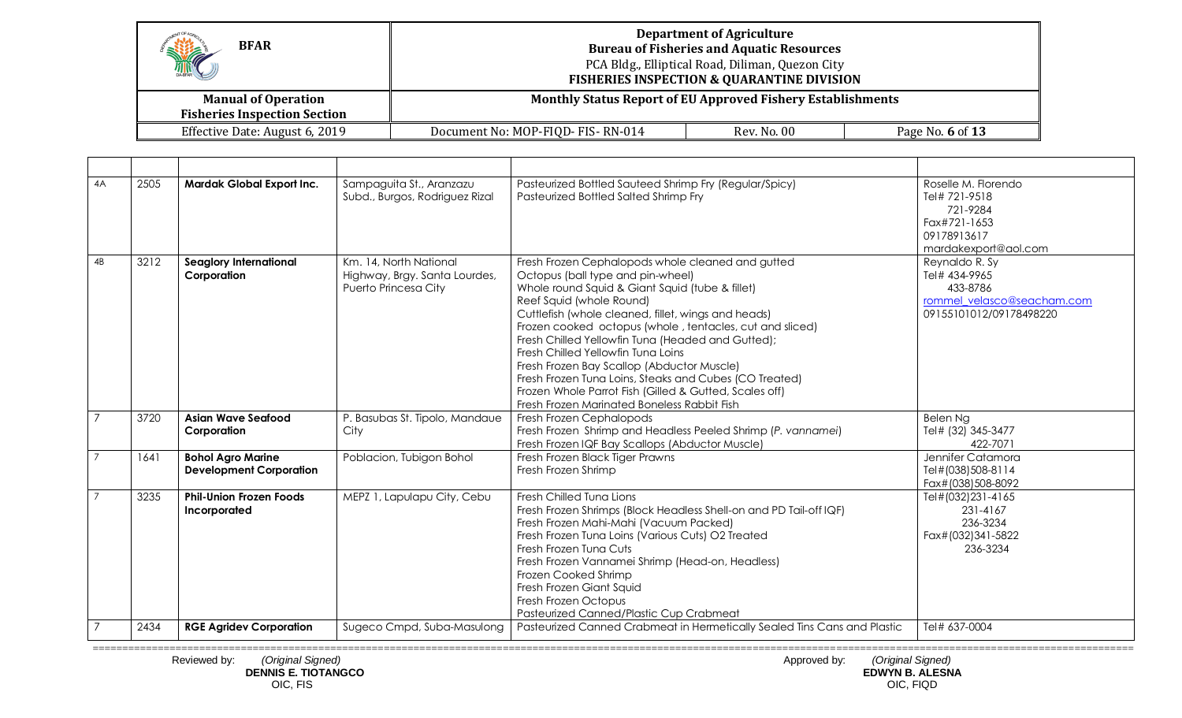| HIC<br><b>BFAR</b>                                                | <b>Department of Agriculture</b><br><b>Bureau of Fisheries and Aquatic Resources</b><br>PCA Bldg., Elliptical Road, Diliman, Quezon City<br><b>FISHERIES INSPECTION &amp; QUARANTINE DIVISION</b> |             |                  |  |  |
|-------------------------------------------------------------------|---------------------------------------------------------------------------------------------------------------------------------------------------------------------------------------------------|-------------|------------------|--|--|
| <b>Manual of Operation</b><br><b>Fisheries Inspection Section</b> | <b>Monthly Status Report of EU Approved Fishery Establishments</b>                                                                                                                                |             |                  |  |  |
| Effective Date: August 6, 2019                                    | Document No: MOP-FIQD- FIS-RN-014                                                                                                                                                                 | Rev. No. 00 | Page No. 6 of 13 |  |  |

| 4A             | 2505 | <b>Mardak Global Export Inc.</b>                           | Sampaguita St., Aranzazu<br>Subd., Burgos, Rodriguez Rizal                      | Pasteurized Bottled Sauteed Shrimp Fry (Regular/Spicy)<br>Pasteurized Bottled Salted Shrimp Fry                                                                                                                                                                                                                                                                                                                                                                                                                                                                                                      | Roselle M. Florendo<br>Tel# 721-9518<br>721-9284<br>Fax#721-1653<br>09178913617<br>mardakexport@aol.com |
|----------------|------|------------------------------------------------------------|---------------------------------------------------------------------------------|------------------------------------------------------------------------------------------------------------------------------------------------------------------------------------------------------------------------------------------------------------------------------------------------------------------------------------------------------------------------------------------------------------------------------------------------------------------------------------------------------------------------------------------------------------------------------------------------------|---------------------------------------------------------------------------------------------------------|
| 4B             | 3212 | Seaglory International<br>Corporation                      | Km. 14, North National<br>Highway, Brgy. Santa Lourdes,<br>Puerto Princesa City | Fresh Frozen Cephalopods whole cleaned and gutted<br>Octopus (ball type and pin-wheel)<br>Whole round Squid & Giant Squid (tube & fillet)<br>Reef Squid (whole Round)<br>Cuttlefish (whole cleaned, fillet, wings and heads)<br>Frozen cooked octopus (whole, tentacles, cut and sliced)<br>Fresh Chilled Yellowfin Tuna (Headed and Gutted);<br>Fresh Chilled Yellowfin Tung Loins<br>Fresh Frozen Bay Scallop (Abductor Muscle)<br>Fresh Frozen Tuna Loins, Steaks and Cubes (CO Treated)<br>Frozen Whole Parrot Fish (Gilled & Gutted, Scales off)<br>Fresh Frozen Marinated Boneless Rabbit Fish | Reynaldo R. Sy<br>Tel# 434-9965<br>433-8786<br>rommel velasco@seacham.com<br>09155101012/09178498220    |
|                | 3720 | <b>Asian Wave Seafood</b><br>Corporation                   | P. Basubas St. Tipolo, Mandaue<br>City                                          | Fresh Frozen Cephalopods<br>Fresh Frozen Shrimp and Headless Peeled Shrimp (P. vannamei)<br>Fresh Frozen IQF Bay Scallops (Abductor Muscle)                                                                                                                                                                                                                                                                                                                                                                                                                                                          | Belen Ng<br>Tel# (32) 345-3477<br>422-7071                                                              |
| $\overline{7}$ | 1641 | <b>Bohol Agro Marine</b><br><b>Development Corporation</b> | Poblacion, Tubigon Bohol                                                        | Fresh Frozen Black Tiger Prawns<br>Fresh Frozen Shrimp                                                                                                                                                                                                                                                                                                                                                                                                                                                                                                                                               | Jennifer Catamora<br>Tel#(038)508-8114<br>Fax#(038)508-8092                                             |
|                | 3235 | <b>Phil-Union Frozen Foods</b><br>Incorporated             | MEPZ 1, Lapulapu City, Cebu                                                     | Fresh Chilled Tung Lions<br>Fresh Frozen Shrimps (Block Headless Shell-on and PD Tail-off IQF)<br>Fresh Frozen Mahi-Mahi (Vacuum Packed)<br>Fresh Frozen Tuna Loins (Various Cuts) O2 Treated<br>Fresh Frozen Tung Cuts<br>Fresh Frozen Vannamei Shrimp (Head-on, Headless)<br>Frozen Cooked Shrimp<br>Fresh Frozen Giant Squid<br>Fresh Frozen Octopus<br>Pasteurized Canned/Plastic Cup Crabmeat                                                                                                                                                                                                   | Tel#(032)231-4165<br>231-4167<br>236-3234<br>Fax#(032)341-5822<br>236-3234                              |
|                | 2434 | <b>RGE Agridev Corporation</b>                             | Sugeco Cmpd, Suba-Masulong                                                      | Pasteurized Canned Crabmeat in Hermetically Sealed Tins Cans and Plastic                                                                                                                                                                                                                                                                                                                                                                                                                                                                                                                             | Tel# 637-0004                                                                                           |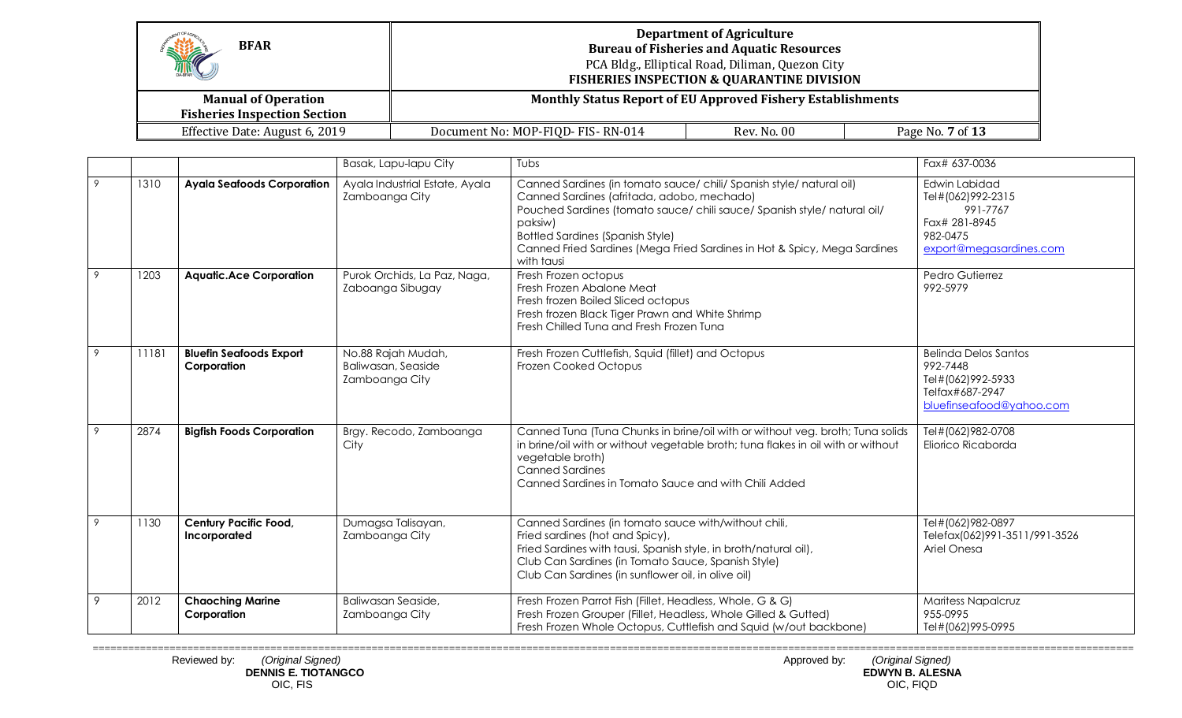| K<br><b>BFAR</b>                                                  | <b>Department of Agriculture</b><br><b>Bureau of Fisheries and Aquatic Resources</b><br>PCA Bldg., Elliptical Road, Diliman, Quezon City<br><b>FISHERIES INSPECTION &amp; QUARANTINE DIVISION</b> |             |                  |
|-------------------------------------------------------------------|---------------------------------------------------------------------------------------------------------------------------------------------------------------------------------------------------|-------------|------------------|
| <b>Manual of Operation</b><br><b>Fisheries Inspection Section</b> | <b>Monthly Status Report of EU Approved Fishery Establishments</b>                                                                                                                                |             |                  |
| Effective Date: August 6, 2019                                    | Document No: MOP-FIQD- FIS-RN-014                                                                                                                                                                 | Rev. No. 00 | Page No. 7 of 13 |

|   |       |                                               | Basak, Lapu-lapu City                                      | Tubs                                                                                                                                                                                                                                                                                                                                           | Fax# 637-0036                                                                                          |
|---|-------|-----------------------------------------------|------------------------------------------------------------|------------------------------------------------------------------------------------------------------------------------------------------------------------------------------------------------------------------------------------------------------------------------------------------------------------------------------------------------|--------------------------------------------------------------------------------------------------------|
| 9 | 1310  | <b>Ayala Seafoods Corporation</b>             | Ayala Industrial Estate, Ayala<br>Zamboanga City           | Canned Sardines (in tomato sauce/ chili/ Spanish style/ natural oil)<br>Canned Sardines (afritada, adobo, mechado)<br>Pouched Sardines (tomato sauce/ chili sauce/ Spanish style/ natural oil/<br>paksiw)<br><b>Bottled Sardines (Spanish Style)</b><br>Canned Fried Sardines (Mega Fried Sardines in Hot & Spicy, Mega Sardines<br>with tausi | Edwin Labidad<br>Tel#(062)992-2315<br>991-7767<br>Fax# 281-8945<br>982-0475<br>export@megasardines.com |
| 9 | 1203  | <b>Aquatic.Ace Corporation</b>                | Purok Orchids, La Paz, Naga,<br>Zaboanga Sibugay           | Fresh Frozen octopus<br>Fresh Frozen Abalone Meat<br>Fresh frozen Boiled Sliced octopus<br>Fresh frozen Black Tiger Prawn and White Shrimp<br>Fresh Chilled Tuna and Fresh Frozen Tuna                                                                                                                                                         | Pedro Gutierrez<br>992-5979                                                                            |
| 9 | 11181 | <b>Bluefin Seafoods Export</b><br>Corporation | No.88 Rajah Mudah,<br>Baliwasan, Seaside<br>Zamboanga City | Fresh Frozen Cuttlefish, Squid (fillet) and Octopus<br>Frozen Cooked Octopus                                                                                                                                                                                                                                                                   | Belinda Delos Santos<br>992-7448<br>Tel#(062)992-5933<br>Telfax#687-2947<br>bluefinseafood@yahoo.com   |
| 9 | 2874  | <b>Bigfish Foods Corporation</b>              | Brgy. Recodo, Zamboanga<br>City                            | Canned Tuna (Tuna Chunks in brine/oil with or without veg. broth; Tuna solids<br>in brine/oil with or without vegetable broth; tuna flakes in oil with or without<br>vegetable broth)<br><b>Canned Sardines</b><br>Canned Sardines in Tomato Sauce and with Chili Added                                                                        | Tel#(062)982-0708<br>Eliorico Ricaborda                                                                |
|   | 1130  | <b>Century Pacific Food,</b><br>Incorporated  | Dumagsa Talisayan,<br>Zamboanga City                       | Canned Sardines (in tomato sauce with/without chili,<br>Fried sardines (hot and Spicy),<br>Fried Sardines with tausi, Spanish style, in broth/natural oil),<br>Club Can Sardines (in Tomato Sauce, Spanish Style)<br>Club Can Sardines (in sunflower oil, in olive oil)                                                                        | Tel#(062)982-0897<br>Telefax(062)991-3511/991-3526<br>Ariel Onesa                                      |
| 9 | 2012  | <b>Chaoching Marine</b><br>Corporation        | Baliwasan Seaside,<br>Zamboanga City                       | Fresh Frozen Parrot Fish (Fillet, Headless, Whole, G & G)<br>Fresh Frozen Grouper (Fillet, Headless, Whole Gilled & Gutted)<br>Fresh Frozen Whole Octopus, Cuttlefish and Squid (w/out backbone)                                                                                                                                               | Maritess Napalcruz<br>955-0995<br>Tel#(062)995-0995                                                    |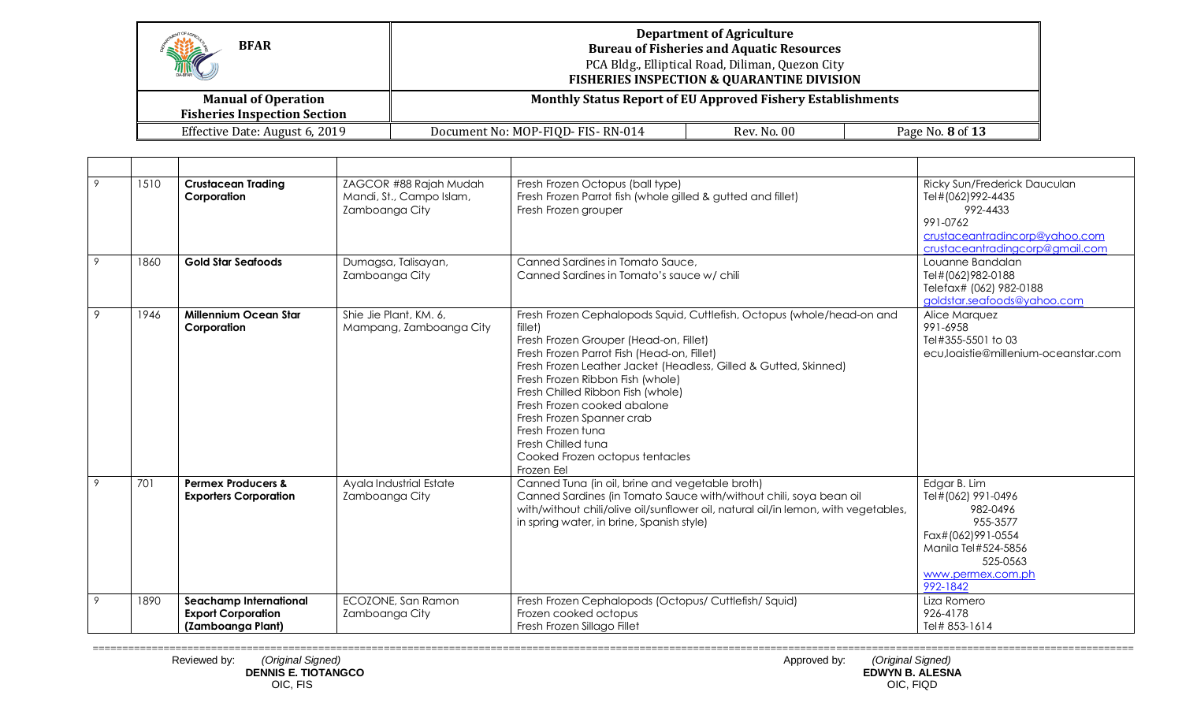| HE<br><b>BFAR</b>                                                 | <b>Department of Agriculture</b><br><b>Bureau of Fisheries and Aquatic Resources</b><br>PCA Bldg., Elliptical Road, Diliman, Quezon City<br><b>FISHERIES INSPECTION &amp; QUARANTINE DIVISION</b> |                                                                    |                  |  |  |
|-------------------------------------------------------------------|---------------------------------------------------------------------------------------------------------------------------------------------------------------------------------------------------|--------------------------------------------------------------------|------------------|--|--|
| <b>Manual of Operation</b><br><b>Fisheries Inspection Section</b> |                                                                                                                                                                                                   | <b>Monthly Status Report of EU Approved Fishery Establishments</b> |                  |  |  |
| Effective Date: August 6, 2019                                    | Document No: MOP-FIQD- FIS-RN-014                                                                                                                                                                 | Rev. No. 00                                                        | Page No. 8 of 13 |  |  |

| 9 | 1510 | <b>Crustacean Trading</b><br>Corporation                                        | ZAGCOR #88 Rajah Mudah<br>Mandi, St., Campo Islam,<br>Zamboanga City | Fresh Frozen Octopus (ball type)<br>Fresh Frozen Parrot fish (whole gilled & gutted and fillet)<br>Fresh Frozen grouper                                                                                                                                                                                                                                                                                                                                                        | Ricky Sun/Frederick Dauculan<br>Tel#(062)992-4435<br>992-4433<br>991-0762<br>crustaceantradincorp@yahoo.com<br>crustaceantradingcorp@gmail.com      |
|---|------|---------------------------------------------------------------------------------|----------------------------------------------------------------------|--------------------------------------------------------------------------------------------------------------------------------------------------------------------------------------------------------------------------------------------------------------------------------------------------------------------------------------------------------------------------------------------------------------------------------------------------------------------------------|-----------------------------------------------------------------------------------------------------------------------------------------------------|
| 9 | 1860 | <b>Gold Star Seafoods</b>                                                       | Dumagsa, Talisayan,<br>Zamboanga City                                | Canned Sardines in Tomato Sauce,<br>Canned Sardines in Tomato's sauce w/ chili                                                                                                                                                                                                                                                                                                                                                                                                 | Louanne Bandalan<br>Tel#(062)982-0188<br>Telefax# (062) 982-0188<br>goldstar.seafoods@yahoo.com                                                     |
| 9 | 1946 | <b>Millennium Ocean Star</b><br>Corporation                                     | Shie Jie Plant, KM, 6,<br>Mampang, Zamboanga City                    | Fresh Frozen Cephalopods Squid, Cuttlefish, Octopus (whole/head-on and<br>fillet)<br>Fresh Frozen Grouper (Head-on, Fillet)<br>Fresh Frozen Parrot Fish (Head-on, Fillet)<br>Fresh Frozen Leather Jacket (Headless, Gilled & Gutted, Skinned)<br>Fresh Frozen Ribbon Fish (whole)<br>Fresh Chilled Ribbon Fish (whole)<br>Fresh Frozen cooked abalone<br>Fresh Frozen Spanner crab<br>Fresh Frozen tuna<br>Fresh Chilled tuna<br>Cooked Frozen octopus tentacles<br>Frozen Eel | Alice Marquez<br>991-6958<br>Tel#355-5501 to 03<br>ecu,loaistie@millenium-oceanstar.com                                                             |
| 9 | 701  | <b>Permex Producers &amp;</b><br><b>Exporters Corporation</b>                   | Ayala Industrial Estate<br>Zamboanga City                            | Canned Tuna (in oil, brine and vegetable broth)<br>Canned Sardines (in Tomato Sauce with/without chili, soya bean oil<br>with/without chili/olive oil/sunflower oil, natural oil/in lemon, with vegetables,<br>in spring water, in brine, Spanish style)                                                                                                                                                                                                                       | Edgar B. Lim<br>Tel#(062) 991-0496<br>982-0496<br>955-3577<br>Fax#(062)991-0554<br>Manila Tel#524-5856<br>525-0563<br>www.permex.com.ph<br>992-1842 |
| 9 | 1890 | <b>Seachamp International</b><br><b>Export Corporation</b><br>(Zamboanga Plant) | ECOZONE, San Ramon<br>Zamboanga City                                 | Fresh Frozen Cephalopods (Octopus/ Cuttlefish/ Squid)<br>Frozen cooked octopus<br>Fresh Frozen Sillago Fillet                                                                                                                                                                                                                                                                                                                                                                  | Liza Romero<br>926-4178<br>Tel# 853-1614                                                                                                            |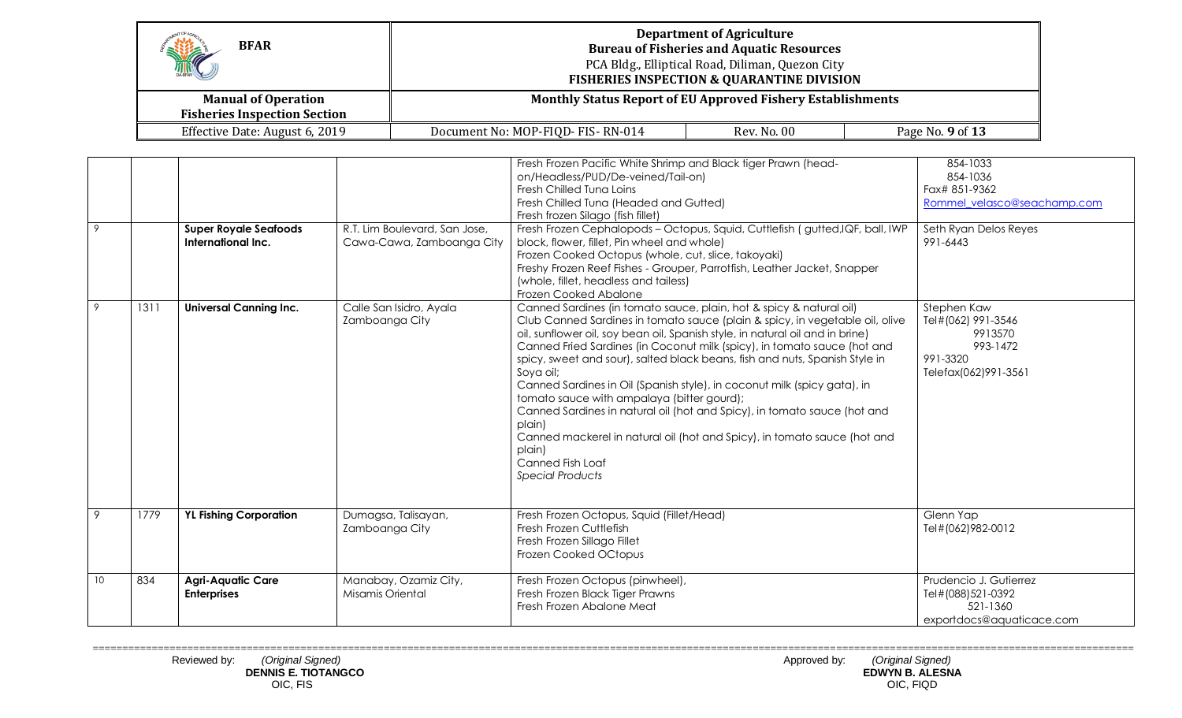| <b>BFAR</b><br>M                                                  | <b>Department of Agriculture</b><br><b>Bureau of Fisheries and Aquatic Resources</b><br>PCA Bldg., Elliptical Road, Diliman, Quezon City<br><b>FISHERIES INSPECTION &amp; QUARANTINE DIVISION</b> |             |                  |  |
|-------------------------------------------------------------------|---------------------------------------------------------------------------------------------------------------------------------------------------------------------------------------------------|-------------|------------------|--|
| <b>Manual of Operation</b><br><b>Fisheries Inspection Section</b> | <b>Monthly Status Report of EU Approved Fishery Establishments</b>                                                                                                                                |             |                  |  |
| Effective Date: August 6, 2019                                    | Document No: MOP-FIQD- FIS-RN-014                                                                                                                                                                 | Rev. No. 00 | Page No. 9 of 13 |  |

| 9  |      | <b>Super Royale Seafoods</b><br>International Inc. | R.T. Lim Boulevard, San Jose,<br>Cawa-Cawa, Zamboanga City | Fresh Frozen Pacific White Shrimp and Black tiger Prawn (head-<br>on/Headless/PUD/De-veined/Tail-on)<br>Fresh Chilled Tung Loins<br>Fresh Chilled Tuna (Headed and Gutted)<br>Fresh frozen Silago (fish fillet)<br>Fresh Frozen Cephalopods - Octopus, Squid, Cuttlefish (gutted, IQF, ball, IWP<br>block, flower, fillet, Pin wheel and whole)<br>Frozen Cooked Octopus (whole, cut, slice, takoyaki)<br>Freshy Frozen Reef Fishes - Grouper, Parrotfish, Leather Jacket, Snapper<br>(whole, fillet, headless and tailess)<br>Frozen Cooked Abalone                                                                                                                                                                                                              | 854-1033<br>854-1036<br>Fax# 851-9362<br>Rommel velasco@seachamp.com<br>Seth Ryan Delos Reyes<br>991-6443 |
|----|------|----------------------------------------------------|------------------------------------------------------------|-------------------------------------------------------------------------------------------------------------------------------------------------------------------------------------------------------------------------------------------------------------------------------------------------------------------------------------------------------------------------------------------------------------------------------------------------------------------------------------------------------------------------------------------------------------------------------------------------------------------------------------------------------------------------------------------------------------------------------------------------------------------|-----------------------------------------------------------------------------------------------------------|
| 9  | 1311 | <b>Universal Canning Inc.</b>                      | Calle San Isidro, Ayala<br>Zamboanga City                  | Canned Sardines (in tomato sauce, plain, hot & spicy & natural oil)<br>Club Canned Sardines in tomato sauce (plain & spicy, in vegetable oil, olive<br>oil, sunflower oil, soy bean oil, Spanish style, in natural oil and in brine)<br>Canned Fried Sardines (in Coconut milk (spicy), in tomato sauce (hot and<br>spicy, sweet and sour), salted black beans, fish and nuts, Spanish Style in<br>Soya oil;<br>Canned Sardines in Oil (Spanish style), in coconut milk (spicy gata), in<br>tomato sauce with ampalaya (bitter gourd);<br>Canned Sardines in natural oil (hot and Spicy), in tomato sauce (hot and<br>plain)<br>Canned mackerel in natural oil (hot and Spicy), in tomato sauce (hot and<br>plain)<br>Canned Fish Loaf<br><b>Special Products</b> | Stephen Kaw<br>Tel#(062) 991-3546<br>9913570<br>993-1472<br>991-3320<br>Telefax(062)991-3561              |
| 9  | 1779 | <b>YL Fishing Corporation</b>                      | Dumagsa, Talisayan,<br>Zamboanga City                      | Fresh Frozen Octopus, Squid (Fillet/Head)<br>Fresh Frozen Cuttlefish<br>Fresh Frozen Sillago Fillet<br>Frozen Cooked OCtopus                                                                                                                                                                                                                                                                                                                                                                                                                                                                                                                                                                                                                                      | Glenn Yap<br>Tel#(062)982-0012                                                                            |
| 10 | 834  | <b>Agri-Aquatic Care</b><br><b>Enterprises</b>     | Manabay, Ozamiz City,<br>Misamis Oriental                  | Fresh Frozen Octopus (pinwheel),<br>Fresh Frozen Black Tiger Prawns<br>Fresh Frozen Abalone Meat                                                                                                                                                                                                                                                                                                                                                                                                                                                                                                                                                                                                                                                                  | Prudencio J. Gutierrez<br>Tel#(088)521-0392<br>521-1360<br>exportdocs@aquaticace.com                      |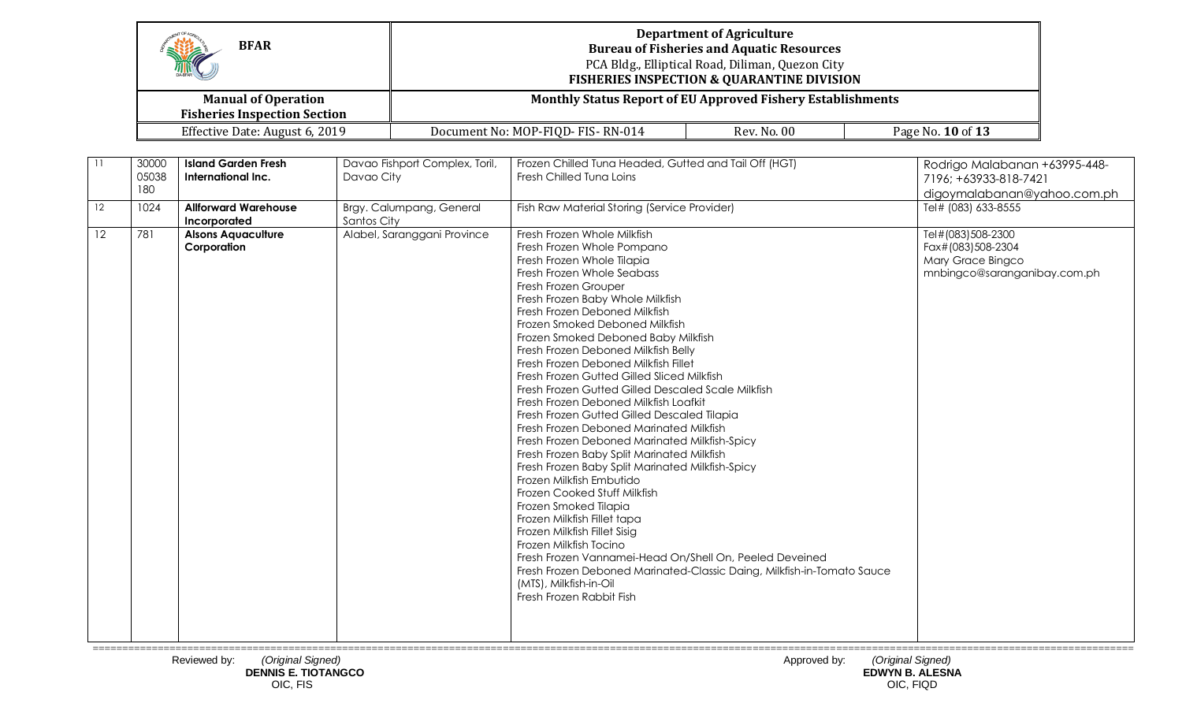|         | <b>BFAR</b><br><b>Manual of Operation</b> |                                                  | <b>Department of Agriculture</b><br><b>Bureau of Fisheries and Aquatic Resources</b><br>PCA Bldg., Elliptical Road, Diliman, Quezon City<br><b>FISHERIES INSPECTION &amp; QUARANTINE DIVISION</b><br><b>Monthly Status Report of EU Approved Fishery Establishments</b> |                                |                                                                                                                                                                                                                                                                                                                                                                                                                                                                                                                                                                                                                                                                                                                                                                                                                                                                                                                                                                                                                                                                     |                                                                        |                                                                                             |  |
|---------|-------------------------------------------|--------------------------------------------------|-------------------------------------------------------------------------------------------------------------------------------------------------------------------------------------------------------------------------------------------------------------------------|--------------------------------|---------------------------------------------------------------------------------------------------------------------------------------------------------------------------------------------------------------------------------------------------------------------------------------------------------------------------------------------------------------------------------------------------------------------------------------------------------------------------------------------------------------------------------------------------------------------------------------------------------------------------------------------------------------------------------------------------------------------------------------------------------------------------------------------------------------------------------------------------------------------------------------------------------------------------------------------------------------------------------------------------------------------------------------------------------------------|------------------------------------------------------------------------|---------------------------------------------------------------------------------------------|--|
|         |                                           | <b>Fisheries Inspection Section</b>              |                                                                                                                                                                                                                                                                         |                                |                                                                                                                                                                                                                                                                                                                                                                                                                                                                                                                                                                                                                                                                                                                                                                                                                                                                                                                                                                                                                                                                     |                                                                        |                                                                                             |  |
|         |                                           | Effective Date: August 6, 2019                   |                                                                                                                                                                                                                                                                         |                                | Document No: MOP-FIQD-FIS-RN-014                                                                                                                                                                                                                                                                                                                                                                                                                                                                                                                                                                                                                                                                                                                                                                                                                                                                                                                                                                                                                                    | <b>Rev. No. 00</b>                                                     | Page No. 10 of 13                                                                           |  |
|         | 30000<br>05038<br>180                     | <b>Island Garden Fresh</b><br>International Inc. | Davao City                                                                                                                                                                                                                                                              | Davao Fishport Complex, Toril, | Frozen Chilled Tuna Headed, Gutted and Tail Off (HGT)<br>Fresh Chilled Tuna Loins                                                                                                                                                                                                                                                                                                                                                                                                                                                                                                                                                                                                                                                                                                                                                                                                                                                                                                                                                                                   |                                                                        | Rodrigo Malabanan +63995-448-<br>7196; +63933-818-7421<br>digoymalabanan@yahoo.com.ph       |  |
| 12      | 1024                                      | <b>Allforward Warehouse</b><br>Incorporated      | Santos City                                                                                                                                                                                                                                                             | Brgy. Calumpang, General       | Fish Raw Material Storing (Service Provider)                                                                                                                                                                                                                                                                                                                                                                                                                                                                                                                                                                                                                                                                                                                                                                                                                                                                                                                                                                                                                        |                                                                        | Tel# (083) 633-8555                                                                         |  |
| $12 \,$ | 781                                       | <b>Alsons Aquaculture</b><br>Corporation         |                                                                                                                                                                                                                                                                         | Alabel, Saranggani Province    | Fresh Frozen Whole Milkfish<br>Fresh Frozen Whole Pompano<br>Fresh Frozen Whole Tilapia<br>Fresh Frozen Whole Seabass<br>Fresh Frozen Grouper<br>Fresh Frozen Baby Whole Milkfish<br>Fresh Frozen Deboned Milkfish<br>Frozen Smoked Deboned Milkfish<br>Frozen Smoked Deboned Baby Milkfish<br>Fresh Frozen Deboned Milkfish Belly<br>Fresh Frozen Deboned Milkfish Fillet<br>Fresh Frozen Gutted Gilled Sliced Milkfish<br>Fresh Frozen Gutted Gilled Descaled Scale Milkfish<br>Fresh Frozen Deboned Milkfish Loafkit<br>Fresh Frozen Gutted Gilled Descaled Tilapia<br>Fresh Frozen Deboned Marinated Milkfish<br>Fresh Frozen Deboned Marinated Milkfish-Spicy<br>Fresh Frozen Baby Split Marinated Milkfish<br>Fresh Frozen Baby Split Marinated Milkfish-Spicy<br>Frozen Milkfish Embutido<br>Frozen Cooked Stuff Milkfish<br>Frozen Smoked Tilapia<br>Frozen Milkfish Fillet tapa<br>Frozen Milkfish Fillet Sisig<br>Frozen Milkfish Tocino<br>Fresh Frozen Vannamei-Head On/Shell On, Peeled Deveined<br>(MTS), Milkfish-in-Oil<br>Fresh Frozen Rabbit Fish | Fresh Frozen Deboned Marinated-Classic Daing, Milkfish-in-Tomato Sauce | Tel#(083)508-2300<br>Fax#(083)508-2304<br>Mary Grace Bingco<br>mnbingco@saranganibay.com.ph |  |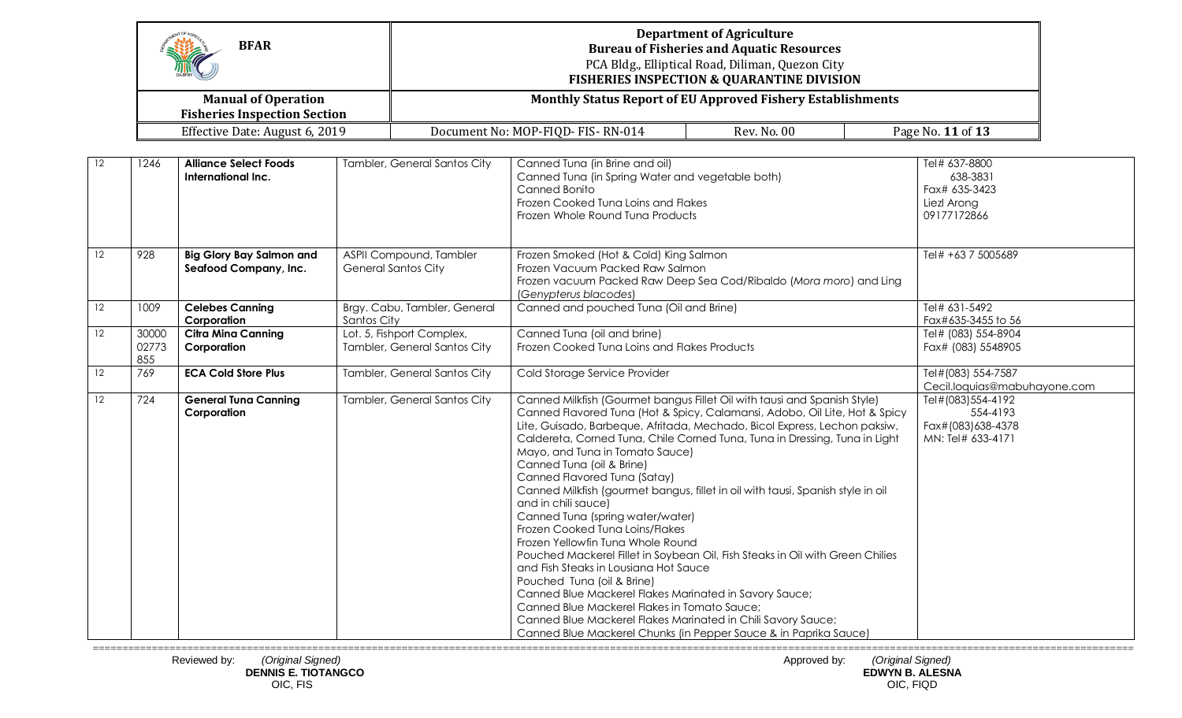|                 |                       | <b>BFAR</b>                                                       |                                                           | <b>Department of Agriculture</b><br><b>Bureau of Fisheries and Aquatic Resources</b><br>PCA Bldg., Elliptical Road, Diliman, Quezon City<br><b>FISHERIES INSPECTION &amp; QUARANTINE DIVISION</b>                                                                                                                                                                                                                                                                                                                                                                                                                                                                                                                                                                                                                                                                                                                                                                                                                                             |             |                                                                          |  |
|-----------------|-----------------------|-------------------------------------------------------------------|-----------------------------------------------------------|-----------------------------------------------------------------------------------------------------------------------------------------------------------------------------------------------------------------------------------------------------------------------------------------------------------------------------------------------------------------------------------------------------------------------------------------------------------------------------------------------------------------------------------------------------------------------------------------------------------------------------------------------------------------------------------------------------------------------------------------------------------------------------------------------------------------------------------------------------------------------------------------------------------------------------------------------------------------------------------------------------------------------------------------------|-------------|--------------------------------------------------------------------------|--|
|                 |                       | <b>Manual of Operation</b><br><b>Fisheries Inspection Section</b> |                                                           | <b>Monthly Status Report of EU Approved Fishery Establishments</b>                                                                                                                                                                                                                                                                                                                                                                                                                                                                                                                                                                                                                                                                                                                                                                                                                                                                                                                                                                            |             |                                                                          |  |
|                 |                       | Effective Date: August 6, 2019                                    |                                                           | Document No: MOP-FIQD- FIS-RN-014                                                                                                                                                                                                                                                                                                                                                                                                                                                                                                                                                                                                                                                                                                                                                                                                                                                                                                                                                                                                             | Rev. No. 00 | Page No. 11 of 13                                                        |  |
| 12              | 1246                  | <b>Alliance Select Foods</b><br>International Inc.                | Tambler, General Santos City                              | Canned Tuna (in Brine and oil)<br>Canned Tuna (in Spring Water and vegetable both)<br>Canned Bonito<br>Frozen Cooked Tuna Loins and Flakes<br>Frozen Whole Round Tuna Products                                                                                                                                                                                                                                                                                                                                                                                                                                                                                                                                                                                                                                                                                                                                                                                                                                                                |             | Tel# 637-8800<br>638-3831<br>Fax# 635-3423<br>Liezl Arong<br>09177172866 |  |
| $\overline{12}$ | 928                   | <b>Big Glory Bay Salmon and</b><br>Seafood Company, Inc.          | ASPII Compound, Tambler<br><b>General Santos City</b>     | Frozen Smoked (Hot & Cold) King Salmon<br>Frozen Vacuum Packed Raw Salmon<br>Frozen vacuum Packed Raw Deep Sea Cod/Ribaldo (Mora moro) and Ling<br>(Genypterus blacodes)                                                                                                                                                                                                                                                                                                                                                                                                                                                                                                                                                                                                                                                                                                                                                                                                                                                                      |             | Tel# +63 7 5005689                                                       |  |
| 12              | 1009                  | <b>Celebes Canning</b><br>Corporation                             | Brgy. Cabu, Tambler, General<br>Santos City               | Canned and pouched Tuna (Oil and Brine)                                                                                                                                                                                                                                                                                                                                                                                                                                                                                                                                                                                                                                                                                                                                                                                                                                                                                                                                                                                                       |             | Tel# 631-5492<br>Fax#635-3455 to 56                                      |  |
| 12              | 30000<br>02773<br>855 | <b>Citra Mina Canning</b><br>Corporation                          | Lot. 5, Fishport Complex,<br>Tambler, General Santos City | Canned Tuna (oil and brine)<br>Frozen Cooked Tuna Loins and Flakes Products                                                                                                                                                                                                                                                                                                                                                                                                                                                                                                                                                                                                                                                                                                                                                                                                                                                                                                                                                                   |             | Tel# (083) 554-8904<br>Fax# (083) 5548905                                |  |
| 12              | 769                   | <b>ECA Cold Store Plus</b>                                        | Tambler, General Santos City                              | Cold Storage Service Provider                                                                                                                                                                                                                                                                                                                                                                                                                                                                                                                                                                                                                                                                                                                                                                                                                                                                                                                                                                                                                 |             | Tel#(083) 554-7587<br>Cecil.loquias@mabuhayone.com                       |  |
| $\overline{12}$ | 724                   | <b>General Tuna Canning</b><br>Corporation                        | Tambler, General Santos City                              | Canned Milkfish (Gourmet bangus Fillet Oil with tausi and Spanish Style)<br>Canned Flavored Tuna (Hot & Spicy, Calamansi, Adobo, Oil Lite, Hot & Spicy<br>Lite, Guisado, Barbeque, Afritada, Mechado, Bicol Express, Lechon paksiw,<br>Caldereta, Corned Tuna, Chile Corned Tuna, Tuna in Dressing, Tuna in Light<br>Mayo, and Tuna in Tomato Sauce)<br>Canned Tuna (oil & Brine)<br>Canned Flavored Tuna (Satay)<br>Canned Milkfish (gourmet bangus, fillet in oil with tausi, Spanish style in oil<br>and in chili sauce)<br>Canned Tuna (spring water/water)<br>Frozen Cooked Tuna Loins/Flakes<br>Frozen Yellowfin Tung Whole Round<br>Pouched Mackerel Fillet in Soybean Oil, Fish Steaks in Oil with Green Chilies<br>and Fish Steaks in Lousiana Hot Sauce<br>Pouched Tuna (oil & Brine)<br>Canned Blue Mackerel Flakes Marinated in Savory Sauce;<br>Canned Blue Mackerel Flakes in Tomato Sauce;<br>Canned Blue Mackerel Flakes Marinated in Chili Savory Sauce;<br>Canned Blue Mackerel Chunks (in Pepper Sauce & in Paprika Sauce) |             | Tel#(083)554-4192<br>554-4193<br>Fax#(083)638-4378<br>MN: Tel# 633-4171  |  |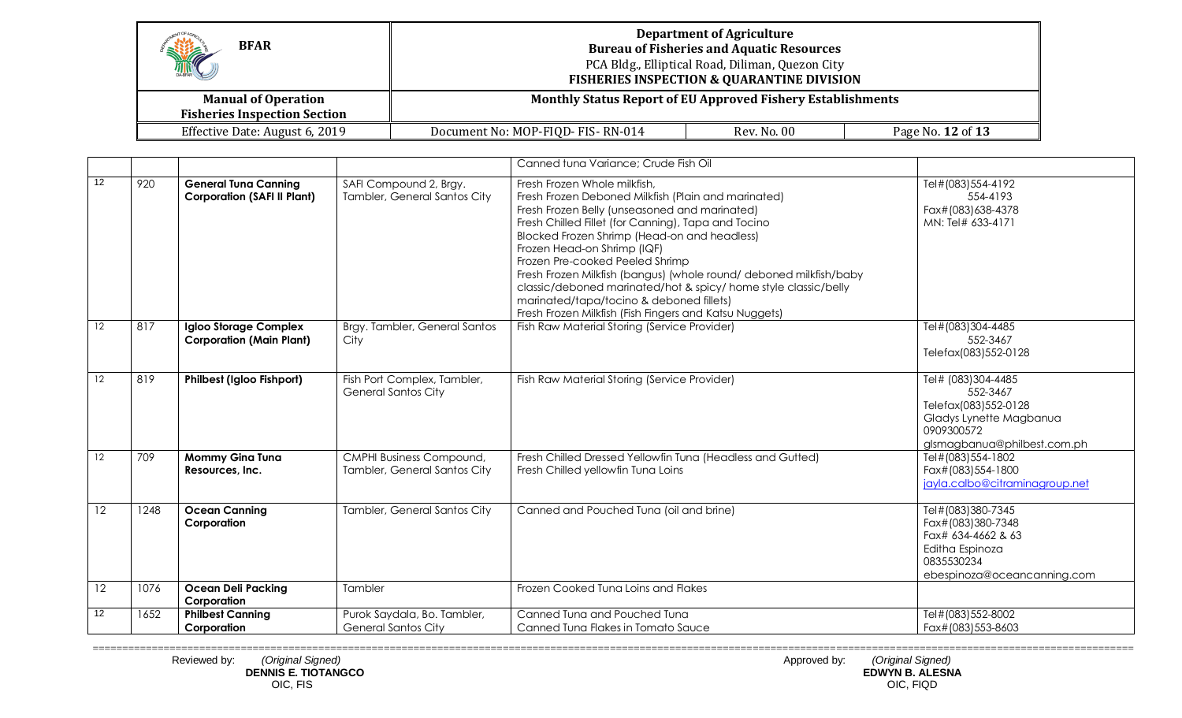| HE<br><b>BFAR</b>                                                 | <b>Department of Agriculture</b><br><b>Bureau of Fisheries and Aquatic Resources</b><br>PCA Bldg., Elliptical Road, Diliman, Quezon City<br><b>FISHERIES INSPECTION &amp; QUARANTINE DIVISION</b> |  |                   |  |  |
|-------------------------------------------------------------------|---------------------------------------------------------------------------------------------------------------------------------------------------------------------------------------------------|--|-------------------|--|--|
| <b>Manual of Operation</b><br><b>Fisheries Inspection Section</b> | <b>Monthly Status Report of EU Approved Fishery Establishments</b>                                                                                                                                |  |                   |  |  |
| Effective Date: August 6, 2019                                    | Rev. No. 00<br>Document No: MOP-FIQD- FIS-RN-014                                                                                                                                                  |  | Page No. 12 of 13 |  |  |

|    |      |                                                                   |                                                           | Canned tuna Variance; Crude Fish Oil                                                                                                                                                                                                                                                                                                                                                                                                                                                                                                                         |                                                                                                                                |
|----|------|-------------------------------------------------------------------|-----------------------------------------------------------|--------------------------------------------------------------------------------------------------------------------------------------------------------------------------------------------------------------------------------------------------------------------------------------------------------------------------------------------------------------------------------------------------------------------------------------------------------------------------------------------------------------------------------------------------------------|--------------------------------------------------------------------------------------------------------------------------------|
| 12 | 920  | <b>General Tuna Canning</b><br><b>Corporation (SAFI II Plant)</b> | SAFI Compound 2, Brgy.<br>Tambler, General Santos City    | Fresh Frozen Whole milkfish,<br>Fresh Frozen Deboned Milkfish (Plain and marinated)<br>Fresh Frozen Belly (unseasoned and marinated)<br>Fresh Chilled Fillet (for Canning), Tapa and Tocino<br>Blocked Frozen Shrimp (Head-on and headless)<br>Frozen Head-on Shrimp (IQF)<br>Frozen Pre-cooked Peeled Shrimp<br>Fresh Frozen Milkfish (bangus) (whole round/ deboned milkfish/baby<br>classic/deboned marinated/hot & spicy/ home style classic/belly<br>marinated/tapa/tocino & deboned fillets)<br>Fresh Frozen Milkfish (Fish Fingers and Katsu Nuggets) | Tel#(083)554-4192<br>554-4193<br>Fax#(083)638-4378<br>MN: Tel# 633-4171                                                        |
| 12 | 817  | Igloo Storage Complex<br><b>Corporation (Main Plant)</b>          | Brgy. Tambler, General Santos<br>City                     | Fish Raw Material Storing (Service Provider)                                                                                                                                                                                                                                                                                                                                                                                                                                                                                                                 | Tel#(083)304-4485<br>552-3467<br>Telefax(083)552-0128                                                                          |
| 12 | 819  | <b>Philbest (Igloo Fishport)</b>                                  | Fish Port Complex, Tambler,<br><b>General Santos City</b> | Fish Raw Material Storing (Service Provider)                                                                                                                                                                                                                                                                                                                                                                                                                                                                                                                 | Tel# (083)304-4485<br>552-3467<br>Telefax(083)552-0128<br>Gladys Lynette Magbanua<br>0909300572<br>glsmagbanua@philbest.com.ph |
| 12 | 709  | <b>Mommy Gina Tuna</b><br>Resources, Inc.                         | CMPHI Business Compound,<br>Tambler, General Santos City  | Fresh Chilled Dressed Yellowfin Tuna (Headless and Gutted)<br>Fresh Chilled yellowfin Tuna Loins                                                                                                                                                                                                                                                                                                                                                                                                                                                             | Tel#(083)554-1802<br>Fax#(083)554-1800<br>jayla.calbo@citraminagroup.net                                                       |
| 12 | 1248 | <b>Ocean Canning</b><br>Corporation                               | Tambler, General Santos City                              | Canned and Pouched Tuna (oil and brine)                                                                                                                                                                                                                                                                                                                                                                                                                                                                                                                      | Tel#(083)380-7345<br>Fax#(083)380-7348<br>Fax# 634-4662 & 63<br>Editha Espinoza<br>0835530234<br>ebespinoza@oceancanning.com   |
| 12 | 1076 | <b>Ocean Deli Packing</b><br>Corporation                          | Tambler                                                   | Frozen Cooked Tuna Loins and Flakes                                                                                                                                                                                                                                                                                                                                                                                                                                                                                                                          |                                                                                                                                |
| 12 | 1652 | <b>Philbest Canning</b><br>Corporation                            | Purok Saydala, Bo. Tambler,<br><b>General Santos City</b> | Canned Tuna and Pouched Tuna<br>Canned Tuna Flakes in Tomato Sauce                                                                                                                                                                                                                                                                                                                                                                                                                                                                                           | Tel#(083)552-8002<br>Fax#(083)553-8603                                                                                         |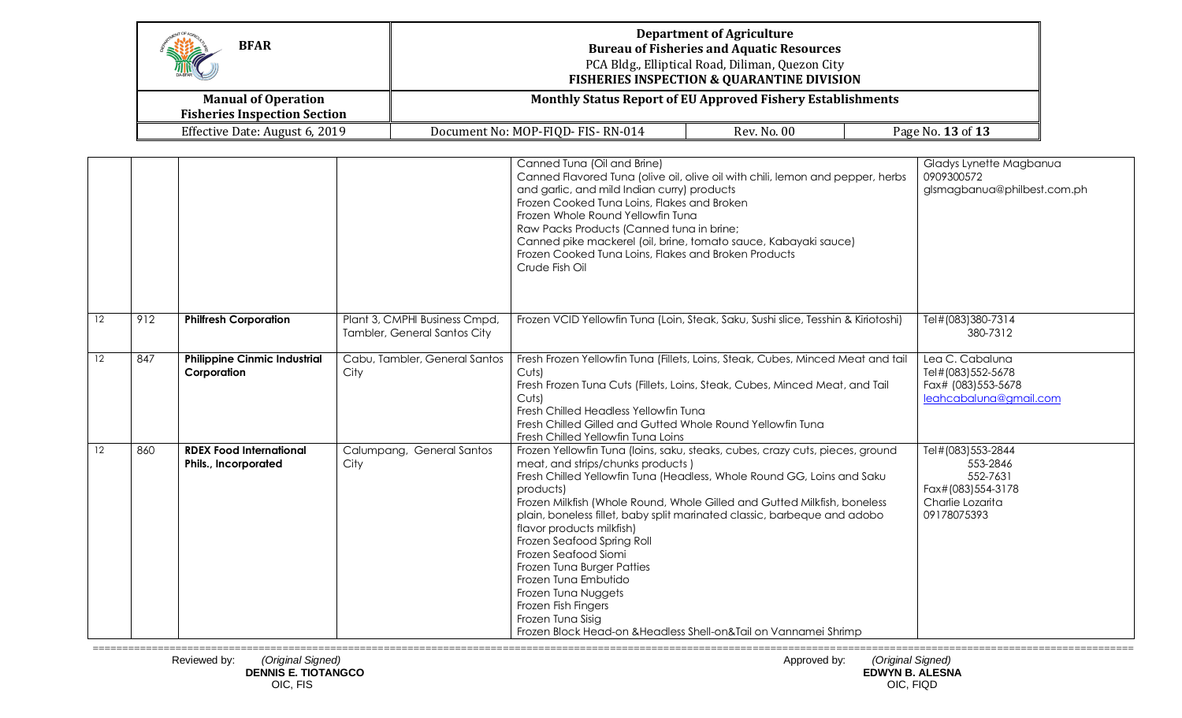| HAC<br><b>BFAR</b>                                                | <b>Department of Agriculture</b><br><b>Bureau of Fisheries and Aquatic Resources</b><br>PCA Bldg., Elliptical Road, Diliman, Quezon City<br><b>FISHERIES INSPECTION &amp; QUARANTINE DIVISION</b> |                    |                   |  |
|-------------------------------------------------------------------|---------------------------------------------------------------------------------------------------------------------------------------------------------------------------------------------------|--------------------|-------------------|--|
| <b>Manual of Operation</b><br><b>Fisheries Inspection Section</b> | <b>Monthly Status Report of EU Approved Fishery Establishments</b>                                                                                                                                |                    |                   |  |
| Effective Date: August 6, 2019                                    | Document No: MOP-FIQD-FIS-RN-014                                                                                                                                                                  | <b>Rev. No. 00</b> | Page No. 13 of 13 |  |

|         |     |                                                        |                                                               | Canned Tuna (Oil and Brine)<br>Canned Flavored Tuna (olive oil, olive oil with chili, lemon and pepper, herbs<br>and garlic, and mild Indian curry) products<br>Frozen Cooked Tuna Loins, Flakes and Broken<br>Frozen Whole Round Yellowfin Tuna<br>Raw Packs Products (Canned tuna in brine;<br>Canned pike mackerel (oil, brine, tomato sauce, Kabayaki sauce)<br>Frozen Cooked Tuna Loins, Flakes and Broken Products<br>Crude Fish Oil                                                                                                                                                                                                        | Gladys Lynette Magbanua<br>0909300572<br>glsmagbanua@philbest.com.ph                              |
|---------|-----|--------------------------------------------------------|---------------------------------------------------------------|---------------------------------------------------------------------------------------------------------------------------------------------------------------------------------------------------------------------------------------------------------------------------------------------------------------------------------------------------------------------------------------------------------------------------------------------------------------------------------------------------------------------------------------------------------------------------------------------------------------------------------------------------|---------------------------------------------------------------------------------------------------|
| $12 \,$ | 912 | <b>Philfresh Corporation</b>                           | Plant 3, CMPHI Business Cmpd,<br>Tambler, General Santos City | Frozen VCID Yellowfin Tuna (Loin, Steak, Saku, Sushi slice, Tesshin & Kiriotoshi)                                                                                                                                                                                                                                                                                                                                                                                                                                                                                                                                                                 | Tel#(083)380-7314<br>380-7312                                                                     |
| $12 \,$ | 847 | <b>Philippine Cinmic Industrial</b><br>Corporation     | Cabu, Tambler, General Santos<br>City                         | Fresh Frozen Yellowfin Tuna (Fillets, Loins, Steak, Cubes, Minced Meat and tail<br>Cuts)<br>Fresh Frozen Tuna Cuts (Fillets, Loins, Steak, Cubes, Minced Meat, and Tail<br>Cuts)<br>Fresh Chilled Headless Yellowfin Tuna<br>Fresh Chilled Gilled and Gutted Whole Round Yellowfin Tung<br>Fresh Chilled Yellowfin Tuna Loins                                                                                                                                                                                                                                                                                                                     | Lea C. Cabaluna<br>Tel#(083)552-5678<br>Fax# (083) 553-5678<br>leahcabaluna@gmail.com             |
| 12      | 860 | <b>RDEX Food International</b><br>Phils., Incorporated | Calumpang, General Santos<br>City                             | Frozen Yellowfin Tuna (loins, saku, steaks, cubes, crazy cuts, pieces, ground<br>meat, and strips/chunks products)<br>Fresh Chilled Yellowfin Tuna (Headless, Whole Round GG, Loins and Saku<br>products)<br>Frozen Milkfish (Whole Round, Whole Gilled and Gutted Milkfish, boneless<br>plain, boneless fillet, baby split marinated classic, barbeque and adobo<br>flavor products milkfish)<br>Frozen Seafood Spring Roll<br>Frozen Seafood Siomi<br>Frozen Tuna Burger Patties<br>Frozen Tuna Embutido<br>Frozen Tuna Nuggets<br>Frozen Fish Fingers<br>Frozen Tuna Sisig<br>Frozen Block Head-on & Headless Shell-on&Tail on Vannamei Shrimp | Tel#(083)553-2844<br>553-2846<br>552-7631<br>Fax#(083)554-3178<br>Charlie Lozarita<br>09178075393 |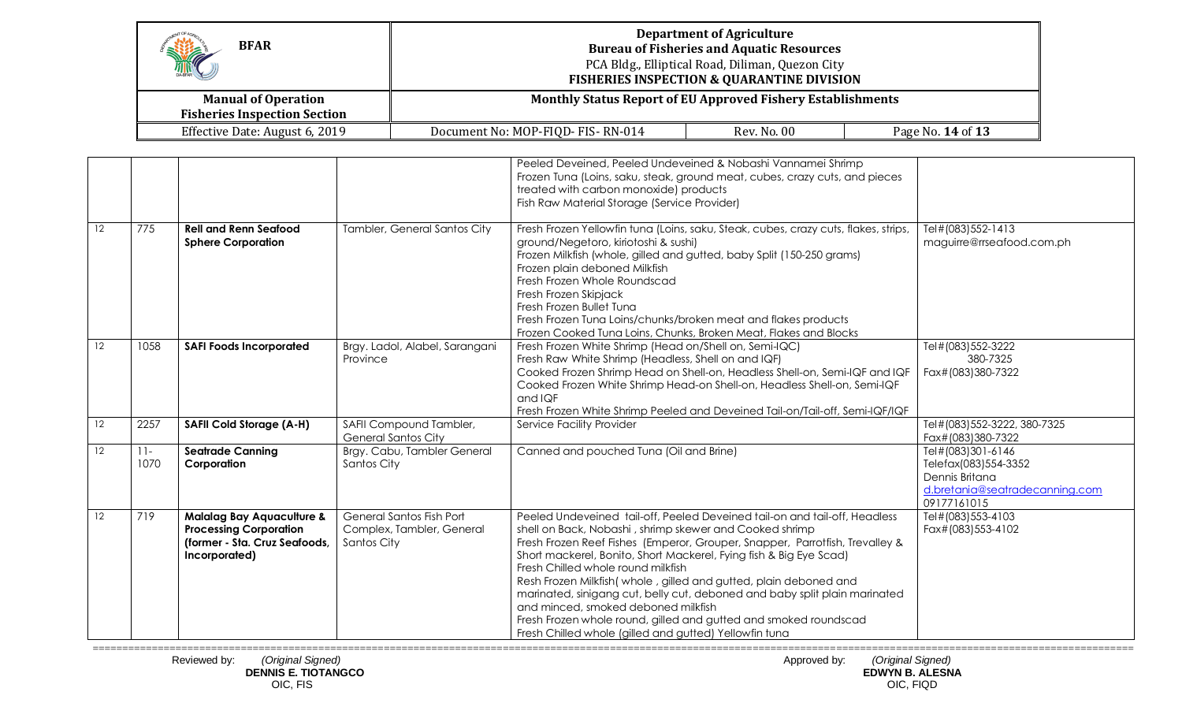| Hitch<br><b>BFAR</b>                                              |                                                                    | <b>Department of Agriculture</b><br><b>Bureau of Fisheries and Aquatic Resources</b><br>PCA Bldg., Elliptical Road, Diliman, Quezon City<br><b>FISHERIES INSPECTION &amp; QUARANTINE DIVISION</b> |                          |  |
|-------------------------------------------------------------------|--------------------------------------------------------------------|---------------------------------------------------------------------------------------------------------------------------------------------------------------------------------------------------|--------------------------|--|
| <b>Manual of Operation</b><br><b>Fisheries Inspection Section</b> | <b>Monthly Status Report of EU Approved Fishery Establishments</b> |                                                                                                                                                                                                   |                          |  |
| Effective Date: August 6, 2019                                    | Document No: MOP-FIQD- FIS-RN-014                                  | Rev. No. 00                                                                                                                                                                                       | Page No. <b>14 of 13</b> |  |

|    |                |                                                                                                                         |                                                                      | Peeled Deveined, Peeled Undeveined & Nobashi Vannamei Shrimp<br>Frozen Tuna (Loins, saku, steak, ground meat, cubes, crazy cuts, and pieces<br>treated with carbon monoxide) products<br>Fish Raw Material Storage (Service Provider)                                                                                                                                                                                                                                                                                                                                                                                                                     |                                                                                                              |
|----|----------------|-------------------------------------------------------------------------------------------------------------------------|----------------------------------------------------------------------|-----------------------------------------------------------------------------------------------------------------------------------------------------------------------------------------------------------------------------------------------------------------------------------------------------------------------------------------------------------------------------------------------------------------------------------------------------------------------------------------------------------------------------------------------------------------------------------------------------------------------------------------------------------|--------------------------------------------------------------------------------------------------------------|
| 12 | 775            | <b>Rell and Renn Seafood</b><br><b>Sphere Corporation</b>                                                               | Tambler, General Santos City                                         | Fresh Frozen Yellowfin tuna (Loins, saku, Steak, cubes, crazy cuts, flakes, strips,<br>ground/Negetoro, kiriotoshi & sushi)<br>Frozen Milkfish (whole, gilled and gutted, baby Split (150-250 grams)<br>Frozen plain deboned Milkfish<br>Fresh Frozen Whole Roundscad<br>Fresh Frozen Skipjack<br>Fresh Frozen Bullet Tuna<br>Fresh Frozen Tuna Loins/chunks/broken meat and flakes products<br>Frozen Cooked Tuna Loins, Chunks, Broken Meat, Flakes and Blocks                                                                                                                                                                                          | Tel#(083)552-1413<br>maguirre@rrseafood.com.ph                                                               |
| 12 | 1058           | <b>SAFI Foods Incorporated</b>                                                                                          | Brgy. Ladol, Alabel, Sarangani<br>Province                           | Fresh Frozen White Shrimp (Head on/Shell on, Semi-IQC)<br>Fresh Raw White Shrimp (Headless, Shell on and IQF)<br>Cooked Frozen Shrimp Head on Shell-on, Headless Shell-on, Semi-IQF and IQF<br>Cooked Frozen White Shrimp Head-on Shell-on, Headless Shell-on, Semi-IQF<br>and IQF<br>Fresh Frozen White Shrimp Peeled and Deveined Tail-on/Tail-off, Semi-IQF/IQF                                                                                                                                                                                                                                                                                        | Tel#(083)552-3222<br>380-7325<br>Fax#(083)380-7322                                                           |
| 12 | 2257           | <b>SAFII Cold Storage (A-H)</b>                                                                                         | SAFII Compound Tambler,<br><b>General Santos City</b>                | Service Facility Provider                                                                                                                                                                                                                                                                                                                                                                                                                                                                                                                                                                                                                                 | Tel#(083)552-3222, 380-7325<br>Fax#(083)380-7322                                                             |
| 12 | $11 -$<br>1070 | <b>Seatrade Canning</b><br>Corporation                                                                                  | Brgy. Cabu, Tambler General<br>Santos City                           | Canned and pouched Tuna (Oil and Brine)                                                                                                                                                                                                                                                                                                                                                                                                                                                                                                                                                                                                                   | Tel#(083)301-6146<br>Telefax(083)554-3352<br>Dennis Britana<br>d.bretania@seatradecanning.com<br>09177161015 |
| 12 | 719            | <b>Malalag Bay Aquaculture &amp;</b><br><b>Processing Corporation</b><br>(former - Sta. Cruz Seafoods,<br>Incorporated) | General Santos Fish Port<br>Complex, Tambler, General<br>Santos City | Peeled Undeveined tail-off, Peeled Deveined tail-on and tail-off, Headless<br>shell on Back, Nobashi, shrimp skewer and Cooked shrimp<br>Fresh Frozen Reef Fishes (Emperor, Grouper, Snapper, Parrotfish, Trevalley &<br>Short mackerel, Bonito, Short Mackerel, Fying fish & Big Eye Scad)<br>Fresh Chilled whole round milkfish<br>Resh Frozen Milkfish (whole, gilled and gutted, plain deboned and<br>marinated, sinigang cut, belly cut, deboned and baby split plain marinated<br>and minced, smoked deboned milkfish<br>Fresh Frozen whole round, gilled and gutted and smoked roundscad<br>Fresh Chilled whole (gilled and gutted) Yellowfin tuna | Tel#(083)553-4103<br>Fax#(083)553-4102                                                                       |